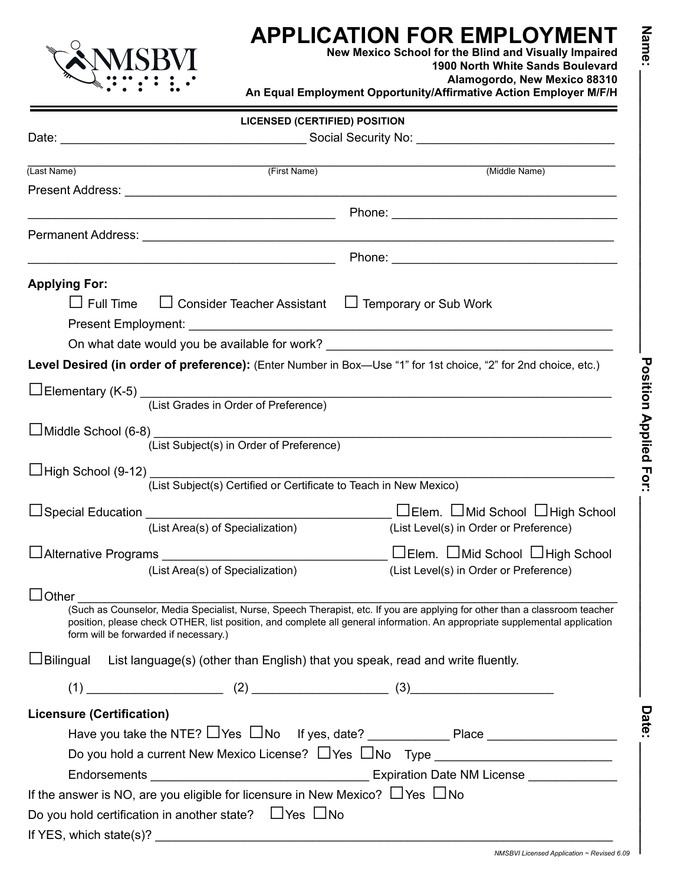

# **APPLICATION FOR EMPLOYMENT**

**New Mexico School for the Blind and Visually Impaired 1900 North White Sands Boulevard**

**Alamogordo, New Mexico 88310**

**An Equal Employment Opportunity/Affirmative Action Employer M/F/H**

|                                  | <b>LICENSED (CERTIFIED) POSITION</b>                                                            |                                                                                                                                   |  |  |
|----------------------------------|-------------------------------------------------------------------------------------------------|-----------------------------------------------------------------------------------------------------------------------------------|--|--|
|                                  |                                                                                                 |                                                                                                                                   |  |  |
| (Last Name)                      | (First Name)                                                                                    | (Middle Name)                                                                                                                     |  |  |
|                                  |                                                                                                 |                                                                                                                                   |  |  |
|                                  |                                                                                                 |                                                                                                                                   |  |  |
|                                  |                                                                                                 |                                                                                                                                   |  |  |
|                                  |                                                                                                 |                                                                                                                                   |  |  |
|                                  |                                                                                                 |                                                                                                                                   |  |  |
| <b>Applying For:</b>             |                                                                                                 |                                                                                                                                   |  |  |
|                                  | $\Box$ Full Time $\Box$ Consider Teacher Assistant $\Box$ Temporary or Sub Work                 |                                                                                                                                   |  |  |
|                                  |                                                                                                 |                                                                                                                                   |  |  |
|                                  |                                                                                                 | On what date would you be available for work?                                                                                     |  |  |
|                                  |                                                                                                 | Level Desired (in order of preference): (Enter Number in Box-Use "1" for 1st choice, "2" for 2nd choice, etc.)                    |  |  |
|                                  |                                                                                                 |                                                                                                                                   |  |  |
|                                  | □Elementary (K-5)<br>(List Grades in Order of Preference)                                       |                                                                                                                                   |  |  |
|                                  |                                                                                                 |                                                                                                                                   |  |  |
|                                  | (List Subject(s) in Order of Preference)                                                        |                                                                                                                                   |  |  |
|                                  |                                                                                                 |                                                                                                                                   |  |  |
|                                  | (List Subject(s) Certified or Certificate to Teach in New Mexico)                               |                                                                                                                                   |  |  |
|                                  |                                                                                                 |                                                                                                                                   |  |  |
|                                  | (List Area(s) of Specialization)                                                                | (List Level(s) in Order or Preference)                                                                                            |  |  |
|                                  |                                                                                                 | <u>DElem.</u> DMid School DHigh School Ling Chool                                                                                 |  |  |
|                                  | (List Area(s) of Specialization)                                                                | (List Level(s) in Order or Preference)                                                                                            |  |  |
|                                  |                                                                                                 |                                                                                                                                   |  |  |
| $\Box$ Other $\Box$              |                                                                                                 | اح<br>(Such as Counselor, Media Specialist, Nurse, Speech Therapist, etc. If you are applying for other than a classroom teacher) |  |  |
|                                  | form will be forwarded if necessary.)                                                           | position, please check OTHER, list position, and complete all general information. An appropriate supplemental application        |  |  |
|                                  | $\Box$ Bilingual List language(s) (other than English) that you speak, read and write fluently. |                                                                                                                                   |  |  |
|                                  |                                                                                                 | $(1)$ (1) (2) (2) (3) (3)                                                                                                         |  |  |
| <b>Licensure (Certification)</b> |                                                                                                 |                                                                                                                                   |  |  |
|                                  |                                                                                                 |                                                                                                                                   |  |  |
|                                  |                                                                                                 | Do you hold a current New Mexico License? Lates Lates Type _____________________                                                  |  |  |
|                                  |                                                                                                 |                                                                                                                                   |  |  |
|                                  | If the answer is NO, are you eligible for licensure in New Mexico? $\Box$ Yes $\Box$ No         |                                                                                                                                   |  |  |
|                                  | Do you hold certification in another state? $\Box$ Yes $\Box$ No                                |                                                                                                                                   |  |  |
|                                  |                                                                                                 |                                                                                                                                   |  |  |

Date:

Name: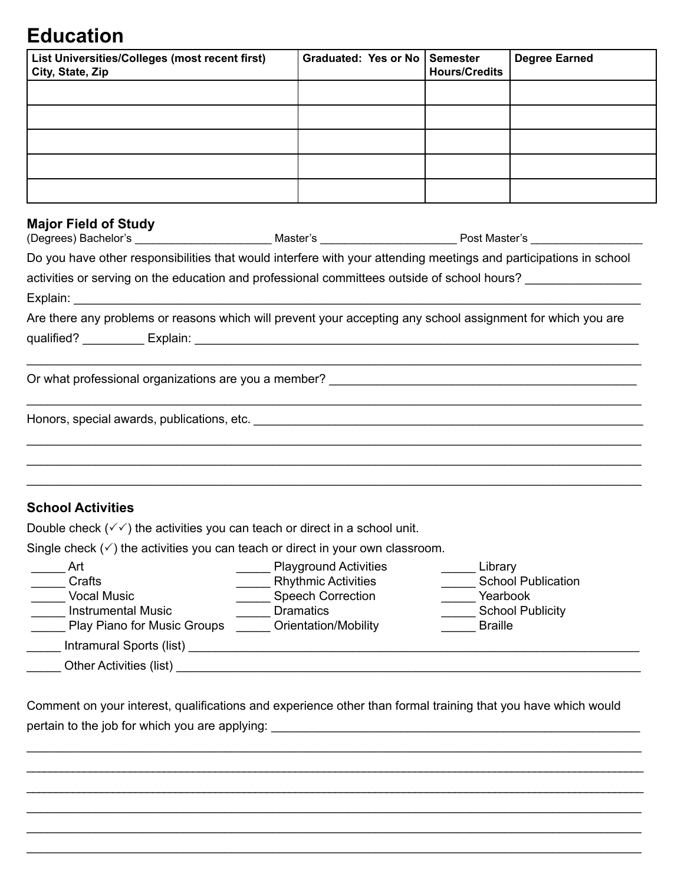## **Education**

| List Universities/Colleges (most recent first)<br>City, State, Zip                                                                     | <b>Graduated: Yes or No</b>                                                                                           | <b>Semester</b><br><b>Hours/Credits</b> | <b>Degree Earned</b>      |
|----------------------------------------------------------------------------------------------------------------------------------------|-----------------------------------------------------------------------------------------------------------------------|-----------------------------------------|---------------------------|
|                                                                                                                                        |                                                                                                                       |                                         |                           |
|                                                                                                                                        |                                                                                                                       |                                         |                           |
|                                                                                                                                        |                                                                                                                       |                                         |                           |
|                                                                                                                                        |                                                                                                                       |                                         |                           |
|                                                                                                                                        |                                                                                                                       |                                         |                           |
|                                                                                                                                        |                                                                                                                       |                                         |                           |
| <b>Major Field of Study</b>                                                                                                            |                                                                                                                       |                                         |                           |
| (Degrees) Bachelor's ___________________________________Master's __________________________Post Master's _____________________________ |                                                                                                                       |                                         |                           |
| Do you have other responsibilities that would interfere with your attending meetings and participations in school                      |                                                                                                                       |                                         |                           |
| activities or serving on the education and professional committees outside of school hours? ______________                             |                                                                                                                       |                                         |                           |
|                                                                                                                                        |                                                                                                                       |                                         |                           |
| Are there any problems or reasons which will prevent your accepting any school assignment for which you are                            |                                                                                                                       |                                         |                           |
|                                                                                                                                        |                                                                                                                       |                                         |                           |
|                                                                                                                                        |                                                                                                                       |                                         |                           |
|                                                                                                                                        |                                                                                                                       |                                         |                           |
|                                                                                                                                        |                                                                                                                       |                                         |                           |
|                                                                                                                                        |                                                                                                                       |                                         |                           |
| <b>School Activities</b>                                                                                                               |                                                                                                                       |                                         |                           |
| Double check $(\checkmark)$ the activities you can teach or direct in a school unit.                                                   |                                                                                                                       |                                         |                           |
| Single check $(\checkmark)$ the activities you can teach or direct in your own classroom.                                              |                                                                                                                       |                                         |                           |
| Art                                                                                                                                    | <b>Playground Activities</b>                                                                                          | Library                                 |                           |
| Crafts                                                                                                                                 | <b>Rhythmic Activities</b>                                                                                            |                                         | <b>School Publication</b> |
| <b>Vocal Music</b><br><b>Instrumental Music</b>                                                                                        | <b>Speech Correction</b><br><b>Dramatics</b>                                                                          | Yearbook                                | <b>School Publicity</b>   |
| Play Piano for Music Groups                                                                                                            | Orientation/Mobility                                                                                                  | <b>Braille</b>                          |                           |
|                                                                                                                                        |                                                                                                                       |                                         |                           |
| Other Activities (list)                                                                                                                | <u> 1980 - Johann Stoff, deutscher Stoff, der Stoff, der Stoff, der Stoff, der Stoff, der Stoff, der Stoff, der S</u> |                                         |                           |

Comment on your interest, qualifications and experience other than formal training that you have which would pertain to the job for which you are applying: \_\_\_\_\_\_\_\_\_\_\_\_\_\_\_\_\_\_\_\_\_\_\_\_\_\_\_\_\_\_\_\_\_

\_\_\_\_\_\_\_\_\_\_\_\_\_\_\_\_\_\_\_\_\_\_\_\_\_\_\_\_\_\_\_\_\_\_\_\_\_\_\_\_\_\_\_\_\_\_\_\_\_\_\_\_\_\_\_\_\_\_\_\_\_\_\_\_\_\_\_\_\_\_\_\_\_\_\_\_\_\_\_\_\_\_\_\_\_\_\_\_\_\_ \_\_\_\_\_\_\_\_\_\_\_\_\_\_\_\_\_\_\_\_\_\_\_\_\_\_\_\_\_\_\_\_\_\_\_\_\_\_\_\_\_\_\_\_\_\_\_\_\_\_\_\_\_\_\_\_\_\_\_\_\_\_\_\_\_\_\_\_\_\_\_\_\_\_\_\_\_\_\_\_\_\_\_\_\_\_\_\_\_\_\_\_\_\_\_\_\_\_\_\_\_\_\_\_\_\_\_\_ \_\_\_\_\_\_\_\_\_\_\_\_\_\_\_\_\_\_\_\_\_\_\_\_\_\_\_\_\_\_\_\_\_\_\_\_\_\_\_\_\_\_\_\_\_\_\_\_\_\_\_\_\_\_\_\_\_\_\_\_\_\_\_\_\_\_\_\_\_\_\_\_\_\_\_\_\_\_\_\_\_\_\_\_\_\_\_\_\_\_\_\_\_\_\_\_\_\_\_\_\_\_\_\_\_\_\_\_ \_\_\_\_\_\_\_\_\_\_\_\_\_\_\_\_\_\_\_\_\_\_\_\_\_\_\_\_\_\_\_\_\_\_\_\_\_\_\_\_\_\_\_\_\_\_\_\_\_\_\_\_\_\_\_\_\_\_\_\_\_\_\_\_\_\_\_\_\_\_\_\_\_\_\_\_\_\_\_\_\_\_\_\_\_\_\_\_\_\_ \_\_\_\_\_\_\_\_\_\_\_\_\_\_\_\_\_\_\_\_\_\_\_\_\_\_\_\_\_\_\_\_\_\_\_\_\_\_\_\_\_\_\_\_\_\_\_\_\_\_\_\_\_\_\_\_\_\_\_\_\_\_\_\_\_\_\_\_\_\_\_\_\_\_\_\_\_\_\_\_\_\_\_\_\_\_\_\_\_\_ \_\_\_\_\_\_\_\_\_\_\_\_\_\_\_\_\_\_\_\_\_\_\_\_\_\_\_\_\_\_\_\_\_\_\_\_\_\_\_\_\_\_\_\_\_\_\_\_\_\_\_\_\_\_\_\_\_\_\_\_\_\_\_\_\_\_\_\_\_\_\_\_\_\_\_\_\_\_\_\_\_\_\_\_\_\_\_\_\_\_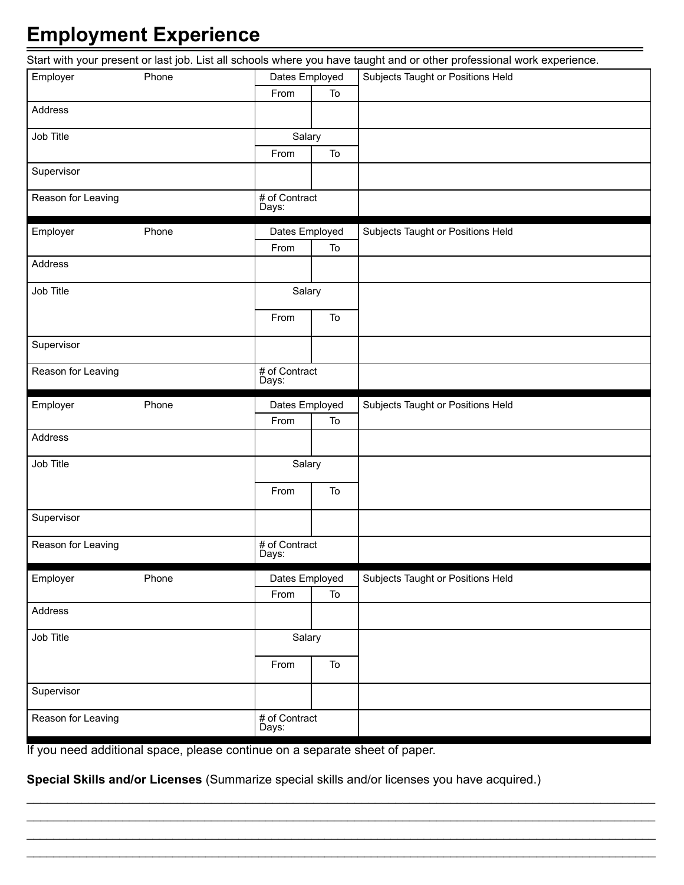# **Employment Experience**

|                    |                        |    | Start with your present or last job. List all schools where you have taught and or other professional work experience. |
|--------------------|------------------------|----|------------------------------------------------------------------------------------------------------------------------|
| Employer<br>Phone  | Dates Employed         |    | Subjects Taught or Positions Held                                                                                      |
|                    | From                   | To |                                                                                                                        |
| Address            |                        |    |                                                                                                                        |
| Job Title          | Salary                 |    |                                                                                                                        |
|                    | From                   | To |                                                                                                                        |
| Supervisor         |                        |    |                                                                                                                        |
| Reason for Leaving | # of Contract<br>Days: |    |                                                                                                                        |
| Employer<br>Phone  | Dates Employed         |    | Subjects Taught or Positions Held                                                                                      |
|                    | From                   | To |                                                                                                                        |
| Address            |                        |    |                                                                                                                        |
| Job Title          | Salary                 |    |                                                                                                                        |
|                    | From                   | To |                                                                                                                        |
| Supervisor         |                        |    |                                                                                                                        |
| Reason for Leaving | # of Contract<br>Days: |    |                                                                                                                        |
| Employer<br>Phone  | Dates Employed         |    | Subjects Taught or Positions Held                                                                                      |
|                    | From                   | To |                                                                                                                        |
| Address            |                        |    |                                                                                                                        |
| Job Title          | Salary                 |    |                                                                                                                        |
|                    | From                   | To |                                                                                                                        |
| Supervisor         |                        |    |                                                                                                                        |
| Reason for Leaving | # of Contract<br>Days: |    |                                                                                                                        |
| Employer<br>Phone  | Dates Employed         |    | Subjects Taught or Positions Held                                                                                      |
|                    | From                   | To |                                                                                                                        |
| Address            |                        |    |                                                                                                                        |
| Job Title          | Salary                 |    |                                                                                                                        |
|                    | From                   | To |                                                                                                                        |
| Supervisor         |                        |    |                                                                                                                        |
| Reason for Leaving | # of Contract<br>Days: |    |                                                                                                                        |

If you need additional space, please continue on a separate sheet of paper.

**Special Skills and/or Licenses** (Summarize special skills and/or licenses you have acquired.)

\_\_\_\_\_\_\_\_\_\_\_\_\_\_\_\_\_\_\_\_\_\_\_\_\_\_\_\_\_\_\_\_\_\_\_\_\_\_\_\_\_\_\_\_\_\_\_\_\_\_\_\_\_\_\_\_\_\_\_\_\_\_\_\_\_\_\_\_\_\_\_\_\_\_\_\_\_\_\_\_\_\_\_\_\_\_\_\_\_\_\_\_ \_\_\_\_\_\_\_\_\_\_\_\_\_\_\_\_\_\_\_\_\_\_\_\_\_\_\_\_\_\_\_\_\_\_\_\_\_\_\_\_\_\_\_\_\_\_\_\_\_\_\_\_\_\_\_\_\_\_\_\_\_\_\_\_\_\_\_\_\_\_\_\_\_\_\_\_\_\_\_\_\_\_\_\_\_\_\_\_\_\_\_\_ \_\_\_\_\_\_\_\_\_\_\_\_\_\_\_\_\_\_\_\_\_\_\_\_\_\_\_\_\_\_\_\_\_\_\_\_\_\_\_\_\_\_\_\_\_\_\_\_\_\_\_\_\_\_\_\_\_\_\_\_\_\_\_\_\_\_\_\_\_\_\_\_\_\_\_\_\_\_\_\_\_\_\_\_\_\_\_\_\_\_\_\_\_\_\_ \_\_\_\_\_\_\_\_\_\_\_\_\_\_\_\_\_\_\_\_\_\_\_\_\_\_\_\_\_\_\_\_\_\_\_\_\_\_\_\_\_\_\_\_\_\_\_\_\_\_\_\_\_\_\_\_\_\_\_\_\_\_\_\_\_\_\_\_\_\_\_\_\_\_\_\_\_\_\_\_\_\_\_\_\_\_\_\_\_\_\_\_\_\_\_